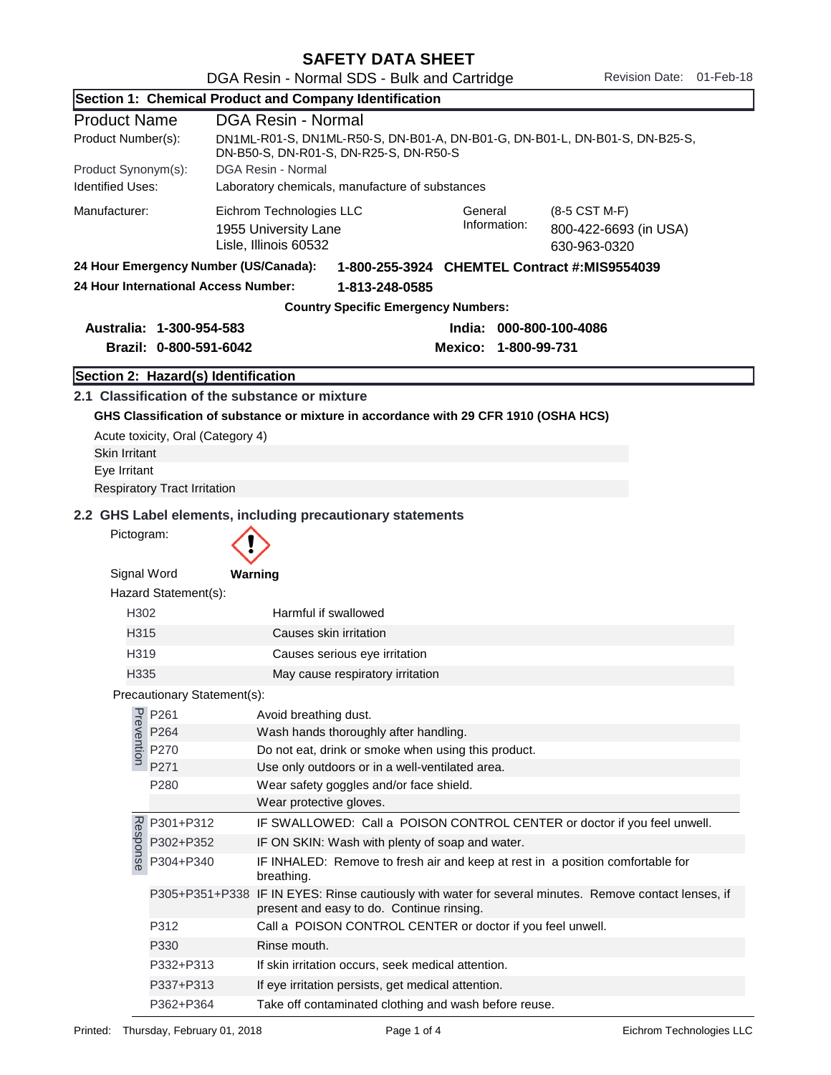| Section 1: Chemical Product and Company Identification |                                                      |                                                                                                                                                                |  |  |  |
|--------------------------------------------------------|------------------------------------------------------|----------------------------------------------------------------------------------------------------------------------------------------------------------------|--|--|--|
| <b>Product Name</b>                                    |                                                      | <b>DGA Resin - Normal</b>                                                                                                                                      |  |  |  |
| Product Number(s):                                     |                                                      | DN1ML-R01-S, DN1ML-R50-S, DN-B01-A, DN-B01-G, DN-B01-L, DN-B01-S, DN-B25-S,<br>DN-B50-S, DN-R01-S, DN-R25-S, DN-R50-S                                          |  |  |  |
| Product Synonym(s):                                    |                                                      | DGA Resin - Normal                                                                                                                                             |  |  |  |
| <b>Identified Uses:</b>                                | Laboratory chemicals, manufacture of substances      |                                                                                                                                                                |  |  |  |
| Manufacturer:                                          |                                                      | Eichrom Technologies LLC<br>General<br>(8-5 CST M-F)<br>Information:<br>1955 University Lane<br>800-422-6693 (in USA)<br>Lisle, Illinois 60532<br>630-963-0320 |  |  |  |
|                                                        | 24 Hour Emergency Number (US/Canada):                | 1-800-255-3924 CHEMTEL Contract #:MIS9554039                                                                                                                   |  |  |  |
|                                                        | 24 Hour International Access Number:                 | 1-813-248-0585                                                                                                                                                 |  |  |  |
|                                                        |                                                      | <b>Country Specific Emergency Numbers:</b>                                                                                                                     |  |  |  |
|                                                        | Australia: 1-300-954-583                             | India: 000-800-100-4086                                                                                                                                        |  |  |  |
|                                                        | Brazil: 0-800-591-6042                               | Mexico: 1-800-99-731                                                                                                                                           |  |  |  |
|                                                        | Section 2: Hazard(s) Identification                  |                                                                                                                                                                |  |  |  |
| <b>Skin Irritant</b><br>Eye Irritant                   | Acute toxicity, Oral (Category 4)                    | 2.1 Classification of the substance or mixture<br>GHS Classification of substance or mixture in accordance with 29 CFR 1910 (OSHA HCS)                         |  |  |  |
|                                                        | <b>Respiratory Tract Irritation</b>                  |                                                                                                                                                                |  |  |  |
| Pictogram:<br>Signal Word                              | Hazard Statement(s):                                 | Warning                                                                                                                                                        |  |  |  |
| H302                                                   |                                                      | Harmful if swallowed                                                                                                                                           |  |  |  |
| H315                                                   |                                                      | Causes skin irritation                                                                                                                                         |  |  |  |
| H319                                                   |                                                      | Causes serious eye irritation                                                                                                                                  |  |  |  |
| H335                                                   |                                                      | May cause respiratory irritation                                                                                                                               |  |  |  |
| Precautionary Statement(s):                            |                                                      |                                                                                                                                                                |  |  |  |
|                                                        | P <sub>re</sub> P261<br>P264<br>P270<br>P270<br>P271 | Avoid breathing dust.<br>Wash hands thoroughly after handling.                                                                                                 |  |  |  |
|                                                        |                                                      | Do not eat, drink or smoke when using this product.                                                                                                            |  |  |  |
|                                                        | P271                                                 | Use only outdoors or in a well-ventilated area.                                                                                                                |  |  |  |
|                                                        | P280                                                 | Wear safety goggles and/or face shield.                                                                                                                        |  |  |  |
|                                                        |                                                      | Wear protective gloves.                                                                                                                                        |  |  |  |
|                                                        | P301+P312                                            | IF SWALLOWED: Call a POISON CONTROL CENTER or doctor if you feel unwell.                                                                                       |  |  |  |
| Response                                               | P302+P352                                            | IF ON SKIN: Wash with plenty of soap and water.                                                                                                                |  |  |  |
|                                                        | P304+P340                                            | IF INHALED: Remove to fresh air and keep at rest in a position comfortable for<br>breathing.                                                                   |  |  |  |
|                                                        |                                                      | P305+P351+P338 IF IN EYES: Rinse cautiously with water for several minutes. Remove contact lenses, if<br>present and easy to do. Continue rinsing.             |  |  |  |
|                                                        | P312                                                 | Call a POISON CONTROL CENTER or doctor if you feel unwell.                                                                                                     |  |  |  |
|                                                        | P330                                                 | Rinse mouth.                                                                                                                                                   |  |  |  |
|                                                        | P332+P313                                            | If skin irritation occurs, seek medical attention.                                                                                                             |  |  |  |
|                                                        | P337+P313                                            | If eye irritation persists, get medical attention.                                                                                                             |  |  |  |
|                                                        | P362+P364                                            | Take off contaminated clothing and wash before reuse.                                                                                                          |  |  |  |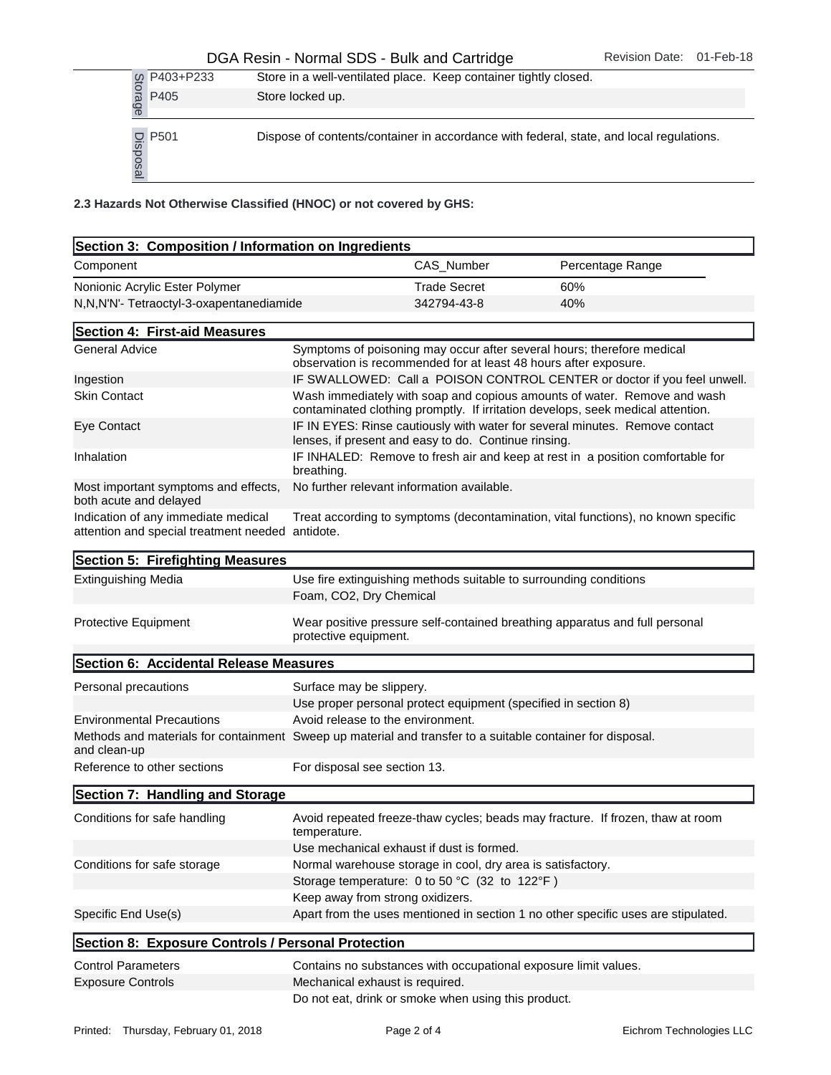## DGA Resin - Normal SDS - Bulk and Cartridge Revision Date: 01-Feb-18

|           | P403+P233                                |                                                                    | Store in a well-ventilated place. Keep container tightly closed. |                                                                                         |  |
|-----------|------------------------------------------|--------------------------------------------------------------------|------------------------------------------------------------------|-----------------------------------------------------------------------------------------|--|
|           | Storage<br>P405                          | Store locked up.                                                   |                                                                  |                                                                                         |  |
|           | P501<br>Disposal                         |                                                                    |                                                                  | Dispose of contents/container in accordance with federal, state, and local regulations. |  |
|           |                                          | 2.3 Hazards Not Otherwise Classified (HNOC) or not covered by GHS: |                                                                  |                                                                                         |  |
|           |                                          | Section 3: Composition / Information on Ingredients                |                                                                  |                                                                                         |  |
| Component |                                          |                                                                    | CAS Number                                                       | Percentage Range                                                                        |  |
|           | Nonionic Acrylic Ester Polymer           |                                                                    | <b>Trade Secret</b>                                              | 60%                                                                                     |  |
|           | N,N,N'N'- Tetraoctyl-3-oxapentanediamide |                                                                    | 342794-43-8                                                      | 40%                                                                                     |  |

| CAS_Number<br>Component<br>Percentage Range<br>Nonionic Acrylic Ester Polymer<br><b>Trade Secret</b><br>60%<br>342794-43-8<br>40%<br>N, N, N'N'- Tetraoctyl-3-oxapentanediamide<br>Section 4: First-aid Measures<br><b>General Advice</b><br>Symptoms of poisoning may occur after several hours; therefore medical<br>observation is recommended for at least 48 hours after exposure.<br>IF SWALLOWED: Call a POISON CONTROL CENTER or doctor if you feel unwell.<br>Ingestion<br><b>Skin Contact</b><br>Wash immediately with soap and copious amounts of water. Remove and wash<br>contaminated clothing promptly. If irritation develops, seek medical attention.<br>IF IN EYES: Rinse cautiously with water for several minutes. Remove contact<br>Eye Contact<br>lenses, if present and easy to do. Continue rinsing.<br>IF INHALED: Remove to fresh air and keep at rest in a position comfortable for<br>Inhalation<br>breathing.<br>No further relevant information available.<br>Most important symptoms and effects,<br>both acute and delayed<br>Indication of any immediate medical<br>Treat according to symptoms (decontamination, vital functions), no known specific<br>attention and special treatment needed antidote.<br>Section 5: Firefighting Measures<br><b>Extinguishing Media</b><br>Use fire extinguishing methods suitable to surrounding conditions<br>Foam, CO2, Dry Chemical<br><b>Protective Equipment</b><br>Wear positive pressure self-contained breathing apparatus and full personal<br>protective equipment.<br>Section 6: Accidental Release Measures<br>Personal precautions<br>Surface may be slippery.<br>Use proper personal protect equipment (specified in section 8)<br><b>Environmental Precautions</b><br>Avoid release to the environment.<br>Methods and materials for containment Sweep up material and transfer to a suitable container for disposal.<br>and clean-up<br>Reference to other sections<br>For disposal see section 13.<br>Section 7: Handling and Storage<br>Conditions for safe handling<br>Avoid repeated freeze-thaw cycles; beads may fracture. If frozen, thaw at room<br>temperature. |
|----------------------------------------------------------------------------------------------------------------------------------------------------------------------------------------------------------------------------------------------------------------------------------------------------------------------------------------------------------------------------------------------------------------------------------------------------------------------------------------------------------------------------------------------------------------------------------------------------------------------------------------------------------------------------------------------------------------------------------------------------------------------------------------------------------------------------------------------------------------------------------------------------------------------------------------------------------------------------------------------------------------------------------------------------------------------------------------------------------------------------------------------------------------------------------------------------------------------------------------------------------------------------------------------------------------------------------------------------------------------------------------------------------------------------------------------------------------------------------------------------------------------------------------------------------------------------------------------------------------------------------------------------------------------------------------------------------------------------------------------------------------------------------------------------------------------------------------------------------------------------------------------------------------------------------------------------------------------------------------------------------------------------------------------------------------------------------------------------------------------------------------------------------------|
|                                                                                                                                                                                                                                                                                                                                                                                                                                                                                                                                                                                                                                                                                                                                                                                                                                                                                                                                                                                                                                                                                                                                                                                                                                                                                                                                                                                                                                                                                                                                                                                                                                                                                                                                                                                                                                                                                                                                                                                                                                                                                                                                                                |
|                                                                                                                                                                                                                                                                                                                                                                                                                                                                                                                                                                                                                                                                                                                                                                                                                                                                                                                                                                                                                                                                                                                                                                                                                                                                                                                                                                                                                                                                                                                                                                                                                                                                                                                                                                                                                                                                                                                                                                                                                                                                                                                                                                |
|                                                                                                                                                                                                                                                                                                                                                                                                                                                                                                                                                                                                                                                                                                                                                                                                                                                                                                                                                                                                                                                                                                                                                                                                                                                                                                                                                                                                                                                                                                                                                                                                                                                                                                                                                                                                                                                                                                                                                                                                                                                                                                                                                                |
|                                                                                                                                                                                                                                                                                                                                                                                                                                                                                                                                                                                                                                                                                                                                                                                                                                                                                                                                                                                                                                                                                                                                                                                                                                                                                                                                                                                                                                                                                                                                                                                                                                                                                                                                                                                                                                                                                                                                                                                                                                                                                                                                                                |
|                                                                                                                                                                                                                                                                                                                                                                                                                                                                                                                                                                                                                                                                                                                                                                                                                                                                                                                                                                                                                                                                                                                                                                                                                                                                                                                                                                                                                                                                                                                                                                                                                                                                                                                                                                                                                                                                                                                                                                                                                                                                                                                                                                |
|                                                                                                                                                                                                                                                                                                                                                                                                                                                                                                                                                                                                                                                                                                                                                                                                                                                                                                                                                                                                                                                                                                                                                                                                                                                                                                                                                                                                                                                                                                                                                                                                                                                                                                                                                                                                                                                                                                                                                                                                                                                                                                                                                                |
|                                                                                                                                                                                                                                                                                                                                                                                                                                                                                                                                                                                                                                                                                                                                                                                                                                                                                                                                                                                                                                                                                                                                                                                                                                                                                                                                                                                                                                                                                                                                                                                                                                                                                                                                                                                                                                                                                                                                                                                                                                                                                                                                                                |
|                                                                                                                                                                                                                                                                                                                                                                                                                                                                                                                                                                                                                                                                                                                                                                                                                                                                                                                                                                                                                                                                                                                                                                                                                                                                                                                                                                                                                                                                                                                                                                                                                                                                                                                                                                                                                                                                                                                                                                                                                                                                                                                                                                |
|                                                                                                                                                                                                                                                                                                                                                                                                                                                                                                                                                                                                                                                                                                                                                                                                                                                                                                                                                                                                                                                                                                                                                                                                                                                                                                                                                                                                                                                                                                                                                                                                                                                                                                                                                                                                                                                                                                                                                                                                                                                                                                                                                                |
|                                                                                                                                                                                                                                                                                                                                                                                                                                                                                                                                                                                                                                                                                                                                                                                                                                                                                                                                                                                                                                                                                                                                                                                                                                                                                                                                                                                                                                                                                                                                                                                                                                                                                                                                                                                                                                                                                                                                                                                                                                                                                                                                                                |
|                                                                                                                                                                                                                                                                                                                                                                                                                                                                                                                                                                                                                                                                                                                                                                                                                                                                                                                                                                                                                                                                                                                                                                                                                                                                                                                                                                                                                                                                                                                                                                                                                                                                                                                                                                                                                                                                                                                                                                                                                                                                                                                                                                |
|                                                                                                                                                                                                                                                                                                                                                                                                                                                                                                                                                                                                                                                                                                                                                                                                                                                                                                                                                                                                                                                                                                                                                                                                                                                                                                                                                                                                                                                                                                                                                                                                                                                                                                                                                                                                                                                                                                                                                                                                                                                                                                                                                                |
|                                                                                                                                                                                                                                                                                                                                                                                                                                                                                                                                                                                                                                                                                                                                                                                                                                                                                                                                                                                                                                                                                                                                                                                                                                                                                                                                                                                                                                                                                                                                                                                                                                                                                                                                                                                                                                                                                                                                                                                                                                                                                                                                                                |
|                                                                                                                                                                                                                                                                                                                                                                                                                                                                                                                                                                                                                                                                                                                                                                                                                                                                                                                                                                                                                                                                                                                                                                                                                                                                                                                                                                                                                                                                                                                                                                                                                                                                                                                                                                                                                                                                                                                                                                                                                                                                                                                                                                |
|                                                                                                                                                                                                                                                                                                                                                                                                                                                                                                                                                                                                                                                                                                                                                                                                                                                                                                                                                                                                                                                                                                                                                                                                                                                                                                                                                                                                                                                                                                                                                                                                                                                                                                                                                                                                                                                                                                                                                                                                                                                                                                                                                                |
|                                                                                                                                                                                                                                                                                                                                                                                                                                                                                                                                                                                                                                                                                                                                                                                                                                                                                                                                                                                                                                                                                                                                                                                                                                                                                                                                                                                                                                                                                                                                                                                                                                                                                                                                                                                                                                                                                                                                                                                                                                                                                                                                                                |
|                                                                                                                                                                                                                                                                                                                                                                                                                                                                                                                                                                                                                                                                                                                                                                                                                                                                                                                                                                                                                                                                                                                                                                                                                                                                                                                                                                                                                                                                                                                                                                                                                                                                                                                                                                                                                                                                                                                                                                                                                                                                                                                                                                |
|                                                                                                                                                                                                                                                                                                                                                                                                                                                                                                                                                                                                                                                                                                                                                                                                                                                                                                                                                                                                                                                                                                                                                                                                                                                                                                                                                                                                                                                                                                                                                                                                                                                                                                                                                                                                                                                                                                                                                                                                                                                                                                                                                                |
|                                                                                                                                                                                                                                                                                                                                                                                                                                                                                                                                                                                                                                                                                                                                                                                                                                                                                                                                                                                                                                                                                                                                                                                                                                                                                                                                                                                                                                                                                                                                                                                                                                                                                                                                                                                                                                                                                                                                                                                                                                                                                                                                                                |
|                                                                                                                                                                                                                                                                                                                                                                                                                                                                                                                                                                                                                                                                                                                                                                                                                                                                                                                                                                                                                                                                                                                                                                                                                                                                                                                                                                                                                                                                                                                                                                                                                                                                                                                                                                                                                                                                                                                                                                                                                                                                                                                                                                |
|                                                                                                                                                                                                                                                                                                                                                                                                                                                                                                                                                                                                                                                                                                                                                                                                                                                                                                                                                                                                                                                                                                                                                                                                                                                                                                                                                                                                                                                                                                                                                                                                                                                                                                                                                                                                                                                                                                                                                                                                                                                                                                                                                                |
|                                                                                                                                                                                                                                                                                                                                                                                                                                                                                                                                                                                                                                                                                                                                                                                                                                                                                                                                                                                                                                                                                                                                                                                                                                                                                                                                                                                                                                                                                                                                                                                                                                                                                                                                                                                                                                                                                                                                                                                                                                                                                                                                                                |
| Use mechanical exhaust if dust is formed.                                                                                                                                                                                                                                                                                                                                                                                                                                                                                                                                                                                                                                                                                                                                                                                                                                                                                                                                                                                                                                                                                                                                                                                                                                                                                                                                                                                                                                                                                                                                                                                                                                                                                                                                                                                                                                                                                                                                                                                                                                                                                                                      |
| Conditions for safe storage<br>Normal warehouse storage in cool, dry area is satisfactory.                                                                                                                                                                                                                                                                                                                                                                                                                                                                                                                                                                                                                                                                                                                                                                                                                                                                                                                                                                                                                                                                                                                                                                                                                                                                                                                                                                                                                                                                                                                                                                                                                                                                                                                                                                                                                                                                                                                                                                                                                                                                     |
| Storage temperature: 0 to 50 °C (32 to 122°F)                                                                                                                                                                                                                                                                                                                                                                                                                                                                                                                                                                                                                                                                                                                                                                                                                                                                                                                                                                                                                                                                                                                                                                                                                                                                                                                                                                                                                                                                                                                                                                                                                                                                                                                                                                                                                                                                                                                                                                                                                                                                                                                  |
| Keep away from strong oxidizers.<br>Specific End Use(s)<br>Apart from the uses mentioned in section 1 no other specific uses are stipulated.                                                                                                                                                                                                                                                                                                                                                                                                                                                                                                                                                                                                                                                                                                                                                                                                                                                                                                                                                                                                                                                                                                                                                                                                                                                                                                                                                                                                                                                                                                                                                                                                                                                                                                                                                                                                                                                                                                                                                                                                                   |
|                                                                                                                                                                                                                                                                                                                                                                                                                                                                                                                                                                                                                                                                                                                                                                                                                                                                                                                                                                                                                                                                                                                                                                                                                                                                                                                                                                                                                                                                                                                                                                                                                                                                                                                                                                                                                                                                                                                                                                                                                                                                                                                                                                |
| Section 8: Exposure Controls / Personal Protection                                                                                                                                                                                                                                                                                                                                                                                                                                                                                                                                                                                                                                                                                                                                                                                                                                                                                                                                                                                                                                                                                                                                                                                                                                                                                                                                                                                                                                                                                                                                                                                                                                                                                                                                                                                                                                                                                                                                                                                                                                                                                                             |
| <b>Control Parameters</b><br>Contains no substances with occupational exposure limit values.                                                                                                                                                                                                                                                                                                                                                                                                                                                                                                                                                                                                                                                                                                                                                                                                                                                                                                                                                                                                                                                                                                                                                                                                                                                                                                                                                                                                                                                                                                                                                                                                                                                                                                                                                                                                                                                                                                                                                                                                                                                                   |
| <b>Exposure Controls</b><br>Mechanical exhaust is required.<br>Do not eat, drink or smoke when using this product.                                                                                                                                                                                                                                                                                                                                                                                                                                                                                                                                                                                                                                                                                                                                                                                                                                                                                                                                                                                                                                                                                                                                                                                                                                                                                                                                                                                                                                                                                                                                                                                                                                                                                                                                                                                                                                                                                                                                                                                                                                             |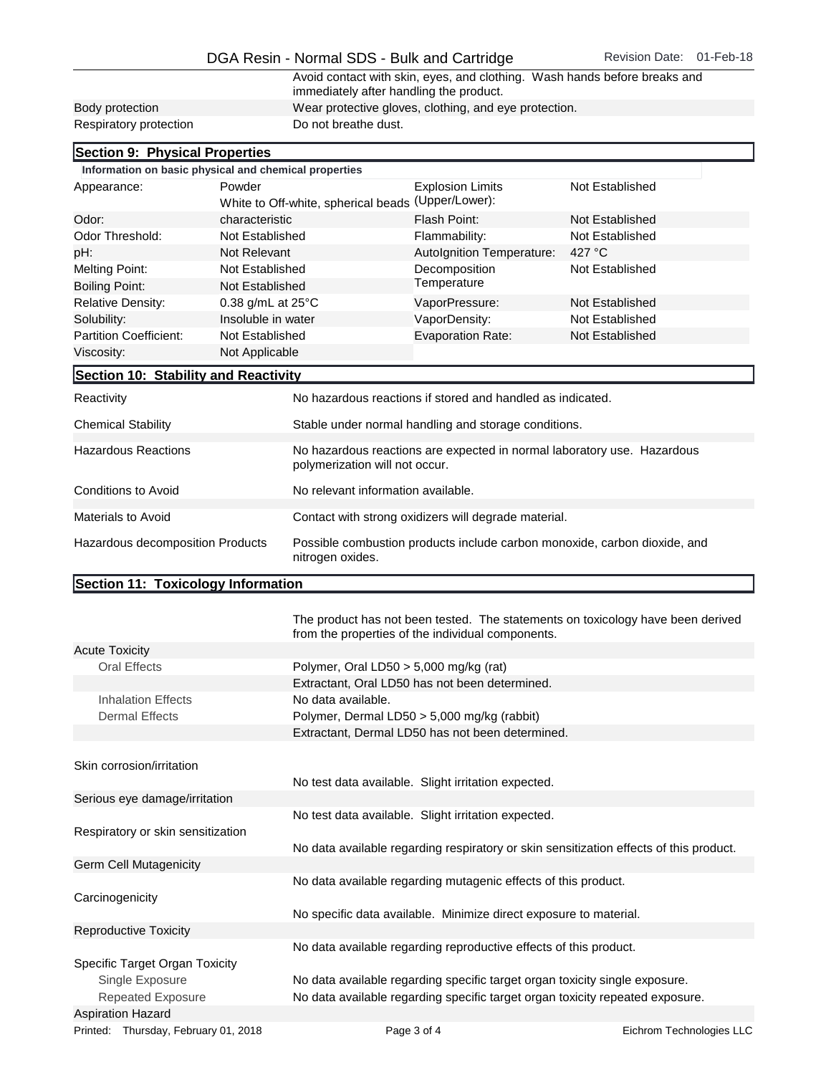|                        | Avoid contact with skin, eyes, and clothing. Wash hands before breaks and<br>immediately after handling the product. |
|------------------------|----------------------------------------------------------------------------------------------------------------------|
| Body protection        | Wear protective gloves, clothing, and eye protection.                                                                |
| Respiratory protection | Do not breathe dust.                                                                                                 |

| Section 9: Physical Properties                        |                    |                                                                                                           |                           |                 |  |
|-------------------------------------------------------|--------------------|-----------------------------------------------------------------------------------------------------------|---------------------------|-----------------|--|
| Information on basic physical and chemical properties |                    |                                                                                                           |                           |                 |  |
| Appearance:                                           | Powder             |                                                                                                           | <b>Explosion Limits</b>   | Not Established |  |
|                                                       |                    | White to Off-white, spherical beads (Upper/Lower):                                                        |                           |                 |  |
| Odor:                                                 | characteristic     |                                                                                                           | Flash Point:              | Not Established |  |
| Odor Threshold:                                       | Not Established    |                                                                                                           | Flammability:             | Not Established |  |
| pH:                                                   | Not Relevant       |                                                                                                           | Autolgnition Temperature: | 427 $\degree$ C |  |
| <b>Melting Point:</b>                                 | Not Established    |                                                                                                           | Decomposition             | Not Established |  |
| <b>Boiling Point:</b>                                 | Not Established    |                                                                                                           | Temperature               |                 |  |
| <b>Relative Density:</b>                              | 0.38 g/mL at 25°C  |                                                                                                           | VaporPressure:            | Not Established |  |
| Solubility:                                           | Insoluble in water |                                                                                                           | VaporDensity:             | Not Established |  |
| <b>Partition Coefficient:</b>                         | Not Established    |                                                                                                           | <b>Evaporation Rate:</b>  | Not Established |  |
| Viscosity:                                            | Not Applicable     |                                                                                                           |                           |                 |  |
| Section 10: Stability and Reactivity                  |                    |                                                                                                           |                           |                 |  |
| Reactivity                                            |                    | No hazardous reactions if stored and handled as indicated.                                                |                           |                 |  |
| <b>Chemical Stability</b>                             |                    | Stable under normal handling and storage conditions.                                                      |                           |                 |  |
| <b>Hazardous Reactions</b>                            |                    | No hazardous reactions are expected in normal laboratory use. Hazardous<br>polymerization will not occur. |                           |                 |  |
| <b>Conditions to Avoid</b>                            |                    | No relevant information available.                                                                        |                           |                 |  |
| Materials to Avoid                                    |                    | Contact with strong oxidizers will degrade material.                                                      |                           |                 |  |
| Hazardous decomposition Products                      |                    | Possible combustion products include carbon monoxide, carbon dioxide, and<br>nitrogen oxides.             |                           |                 |  |

## Section 11: Toxicology Information

|                                                          | The product has not been tested. The statements on toxicology have been derived<br>from the properties of the individual components. |                          |  |
|----------------------------------------------------------|--------------------------------------------------------------------------------------------------------------------------------------|--------------------------|--|
| <b>Acute Toxicity</b>                                    |                                                                                                                                      |                          |  |
| Oral Effects<br>Polymer, Oral LD50 $>$ 5,000 mg/kg (rat) |                                                                                                                                      |                          |  |
|                                                          | Extractant, Oral LD50 has not been determined.                                                                                       |                          |  |
| <b>Inhalation Effects</b>                                | No data available.                                                                                                                   |                          |  |
| <b>Dermal Effects</b>                                    | Polymer, Dermal LD50 > 5,000 mg/kg (rabbit)                                                                                          |                          |  |
|                                                          | Extractant, Dermal LD50 has not been determined.                                                                                     |                          |  |
|                                                          |                                                                                                                                      |                          |  |
| Skin corrosion/irritation                                |                                                                                                                                      |                          |  |
|                                                          | No test data available. Slight irritation expected.                                                                                  |                          |  |
| Serious eye damage/irritation                            |                                                                                                                                      |                          |  |
|                                                          | No test data available. Slight irritation expected.                                                                                  |                          |  |
| Respiratory or skin sensitization                        |                                                                                                                                      |                          |  |
|                                                          | No data available regarding respiratory or skin sensitization effects of this product.                                               |                          |  |
| Germ Cell Mutagenicity                                   |                                                                                                                                      |                          |  |
|                                                          | No data available regarding mutagenic effects of this product.                                                                       |                          |  |
| Carcinogenicity                                          |                                                                                                                                      |                          |  |
|                                                          | No specific data available. Minimize direct exposure to material.                                                                    |                          |  |
| <b>Reproductive Toxicity</b>                             |                                                                                                                                      |                          |  |
|                                                          | No data available regarding reproductive effects of this product.                                                                    |                          |  |
| Specific Target Organ Toxicity                           |                                                                                                                                      |                          |  |
| Single Exposure                                          | No data available regarding specific target organ toxicity single exposure.                                                          |                          |  |
| <b>Repeated Exposure</b>                                 | No data available regarding specific target organ toxicity repeated exposure.                                                        |                          |  |
| <b>Aspiration Hazard</b>                                 |                                                                                                                                      |                          |  |
| Printed: Thursday, February 01, 2018                     | Page 3 of 4                                                                                                                          | Eichrom Technologies LLC |  |